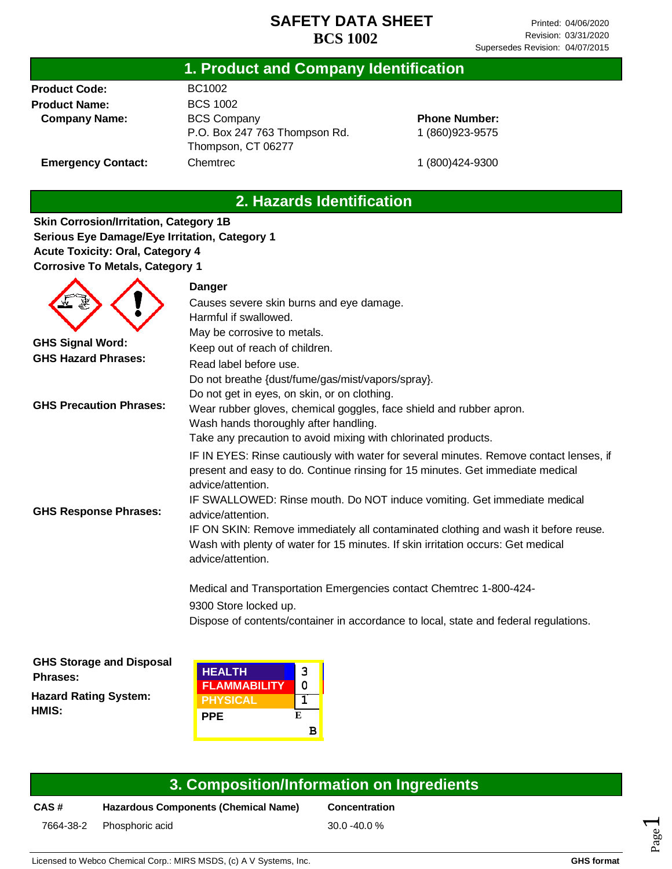# **1. Product and Company Identification**

**Product Code: Product Name: Company Name:**

▲

**Emergency Contact:**

BC1002 BCS 1002 BCS Company P.O. Box 247 763 Thompson Rd. Thompson, CT 06277 Chemtrec

**Phone Number:** 1 (860)923-9575

1 (800)424-9300

# **2. Hazards Identification**

**Skin Corrosion/Irritation, Category 1B Serious Eye Damage/Eye Irritation, Category 1 Acute Toxicity: Oral, Category 4 Corrosive To Metals, Category 1**

 $\blacktriangle$ 

|                                | Danger                                                                                                                                                                                        |
|--------------------------------|-----------------------------------------------------------------------------------------------------------------------------------------------------------------------------------------------|
|                                | Causes severe skin burns and eye damage.                                                                                                                                                      |
|                                | Harmful if swallowed.                                                                                                                                                                         |
|                                | May be corrosive to metals.                                                                                                                                                                   |
| <b>GHS Signal Word:</b>        | Keep out of reach of children.                                                                                                                                                                |
| <b>GHS Hazard Phrases:</b>     | Read label before use.                                                                                                                                                                        |
|                                | Do not breathe {dust/fume/gas/mist/vapors/spray}.                                                                                                                                             |
|                                | Do not get in eyes, on skin, or on clothing.                                                                                                                                                  |
| <b>GHS Precaution Phrases:</b> | Wear rubber gloves, chemical goggles, face shield and rubber apron.<br>Wash hands thoroughly after handling.                                                                                  |
|                                | Take any precaution to avoid mixing with chlorinated products.                                                                                                                                |
|                                | IF IN EYES: Rinse cautiously with water for several minutes. Remove contact lenses, if<br>present and easy to do. Continue rinsing for 15 minutes. Get immediate medical<br>advice/attention. |
| <b>GHS Response Phrases:</b>   | IF SWALLOWED: Rinse mouth. Do NOT induce vomiting. Get immediate medical<br>advice/attention.                                                                                                 |
|                                | IF ON SKIN: Remove immediately all contaminated clothing and wash it before reuse.<br>Wash with plenty of water for 15 minutes. If skin irritation occurs: Get medical<br>advice/attention.   |
|                                | Medical and Transportation Emergencies contact Chemtrec 1-800-424-                                                                                                                            |
|                                | 9300 Store locked up.                                                                                                                                                                         |
|                                | Dispose of contents/container in accordance to local, state and federal regulations.                                                                                                          |
|                                |                                                                                                                                                                                               |

**GHS Storage and Disposal Phrases:**

**Hazard Rating System: HMIS:**

| <b>HEALTH</b><br><b>FLAMMABILITY</b> | 3<br>O |
|--------------------------------------|--------|
| <b>PHYSICAL</b>                      |        |
| PPE                                  | F.     |
|                                      | R      |

### **3. Composition/Information on Ingredients**

**CAS # Hazardous Components (Chemical Name) Concentration**

7664-38-2 Phosphoric acid 30.0 -40.0 %

Licensed to Webco Chemical Corp.: MIRS MSDS, (c) A V Systems, Inc. **GHS format GHS format** 

Page  $\overline{\phantom{0}}$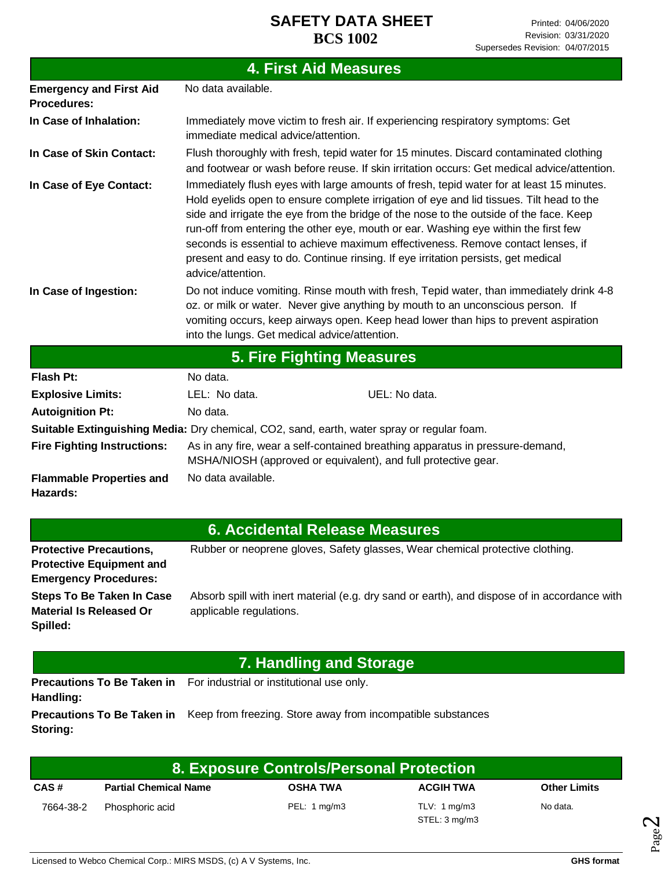| <b>4. First Aid Measures</b>                                                               |                                                                                                                                                                                                                                                                                                                                                                                                                                                                                                                                                                     |  |  |  |  |
|--------------------------------------------------------------------------------------------|---------------------------------------------------------------------------------------------------------------------------------------------------------------------------------------------------------------------------------------------------------------------------------------------------------------------------------------------------------------------------------------------------------------------------------------------------------------------------------------------------------------------------------------------------------------------|--|--|--|--|
| <b>Emergency and First Aid</b><br><b>Procedures:</b>                                       | No data available.                                                                                                                                                                                                                                                                                                                                                                                                                                                                                                                                                  |  |  |  |  |
| In Case of Inhalation:                                                                     | Immediately move victim to fresh air. If experiencing respiratory symptoms: Get<br>immediate medical advice/attention.                                                                                                                                                                                                                                                                                                                                                                                                                                              |  |  |  |  |
| In Case of Skin Contact:                                                                   | Flush thoroughly with fresh, tepid water for 15 minutes. Discard contaminated clothing<br>and footwear or wash before reuse. If skin irritation occurs: Get medical advice/attention.                                                                                                                                                                                                                                                                                                                                                                               |  |  |  |  |
| In Case of Eye Contact:                                                                    | Immediately flush eyes with large amounts of fresh, tepid water for at least 15 minutes.<br>Hold eyelids open to ensure complete irrigation of eye and lid tissues. Tilt head to the<br>side and irrigate the eye from the bridge of the nose to the outside of the face. Keep<br>run-off from entering the other eye, mouth or ear. Washing eye within the first few<br>seconds is essential to achieve maximum effectiveness. Remove contact lenses, if<br>present and easy to do. Continue rinsing. If eye irritation persists, get medical<br>advice/attention. |  |  |  |  |
| In Case of Ingestion:                                                                      | Do not induce vomiting. Rinse mouth with fresh, Tepid water, than immediately drink 4-8<br>oz. or milk or water. Never give anything by mouth to an unconscious person. If<br>vomiting occurs, keep airways open. Keep head lower than hips to prevent aspiration<br>into the lungs. Get medical advice/attention.                                                                                                                                                                                                                                                  |  |  |  |  |
| <b>5. Fire Fighting Measures</b>                                                           |                                                                                                                                                                                                                                                                                                                                                                                                                                                                                                                                                                     |  |  |  |  |
| <b>Flash Pt:</b>                                                                           | No data.                                                                                                                                                                                                                                                                                                                                                                                                                                                                                                                                                            |  |  |  |  |
| <b>Explosive Limits:</b>                                                                   | LEL: No data.<br>UEL: No data.                                                                                                                                                                                                                                                                                                                                                                                                                                                                                                                                      |  |  |  |  |
| <b>Autoignition Pt:</b>                                                                    | No data.                                                                                                                                                                                                                                                                                                                                                                                                                                                                                                                                                            |  |  |  |  |
| Suitable Extinguishing Media: Dry chemical, CO2, sand, earth, water spray or regular foam. |                                                                                                                                                                                                                                                                                                                                                                                                                                                                                                                                                                     |  |  |  |  |
| <b>Fire Fighting Instructions:</b>                                                         | As in any fire, wear a self-contained breathing apparatus in pressure-demand,<br>MSHA/NIOSH (approved or equivalent), and full protective gear.                                                                                                                                                                                                                                                                                                                                                                                                                     |  |  |  |  |
| <b>Flammable Properties and</b><br>Hazards:                                                | No data available.                                                                                                                                                                                                                                                                                                                                                                                                                                                                                                                                                  |  |  |  |  |
|                                                                                            | <b>6 Accidental Delesce Messurge</b>                                                                                                                                                                                                                                                                                                                                                                                                                                                                                                                                |  |  |  |  |

### **6. Accidental Release Measures**

| <b>Protective Precautions,</b>  | Rubber or neoprene gloves, Safety glasses, Wear chemical protective clothing.                |
|---------------------------------|----------------------------------------------------------------------------------------------|
| <b>Protective Equipment and</b> |                                                                                              |
| <b>Emergency Procedures:</b>    |                                                                                              |
| Steps To Be Taken In Case       | Absorb spill with inert material (e.g. dry sand or earth), and dispose of in accordance with |
| <b>Material Is Released Or</b>  | applicable regulations.                                                                      |
| Spilled:                        |                                                                                              |
|                                 |                                                                                              |

# **7. Handling and Storage**

Precautions To Be Taken in For industrial or institutional use only. **Handling:**

**Precautions To Be Taken in** Keep from freezing. Store away from incompatible substances **Storing:**

| 8. Exposure Controls/Personal Protection |                              |                         |                                          |                     |
|------------------------------------------|------------------------------|-------------------------|------------------------------------------|---------------------|
| CAS#                                     | <b>Partial Chemical Name</b> | <b>OSHA TWA</b>         | <b>ACGIH TWA</b>                         | <b>Other Limits</b> |
| 7664-38-2                                | Phosphoric acid              | PEL: $1 \text{ mg/m}$ 3 | TLV: $1 \text{ mg/m}$ 3<br>STEL: 3 mg/m3 | No data.            |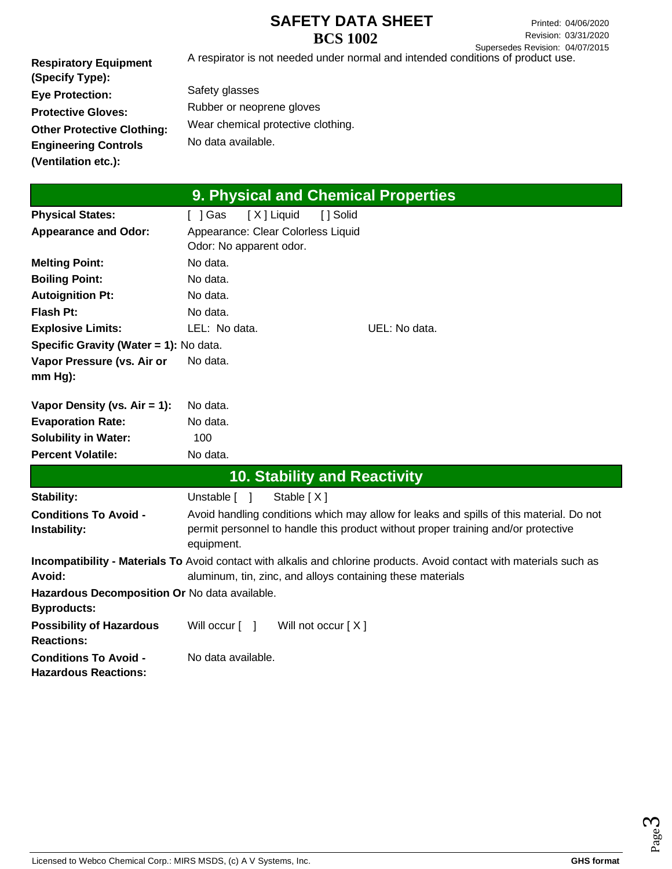Printed: 04/06/2020 Revision: 03/31/2020 Supersedes Revision: 04/07/2015

A respirator is not needed under normal and intended conditions of product use.

**Respiratory Equipment (Specify Type): Eye Protection: Protective Gloves: Other Protective Clothing: Engineering Controls (Ventilation etc.):**

Safety glasses Rubber or neoprene gloves Wear chemical protective clothing. No data available.

| 9. Physical and Chemical Properties           |                                                                                                                       |  |  |  |
|-----------------------------------------------|-----------------------------------------------------------------------------------------------------------------------|--|--|--|
| <b>Physical States:</b>                       | [X] Liquid<br>[ ] Solid<br>$[$ ] Gas                                                                                  |  |  |  |
| <b>Appearance and Odor:</b>                   | Appearance: Clear Colorless Liquid                                                                                    |  |  |  |
|                                               | Odor: No apparent odor.                                                                                               |  |  |  |
| <b>Melting Point:</b>                         | No data.                                                                                                              |  |  |  |
| <b>Boiling Point:</b>                         | No data.                                                                                                              |  |  |  |
| <b>Autoignition Pt:</b>                       | No data.                                                                                                              |  |  |  |
| <b>Flash Pt:</b>                              | No data.                                                                                                              |  |  |  |
| <b>Explosive Limits:</b>                      | LEL: No data.<br>UEL: No data.                                                                                        |  |  |  |
| Specific Gravity (Water = 1): No data.        |                                                                                                                       |  |  |  |
| Vapor Pressure (vs. Air or                    | No data.                                                                                                              |  |  |  |
| $mm Hg$ ):                                    |                                                                                                                       |  |  |  |
| Vapor Density (vs. $Air = 1$ ):               | No data.                                                                                                              |  |  |  |
| <b>Evaporation Rate:</b>                      | No data.                                                                                                              |  |  |  |
| <b>Solubility in Water:</b>                   | 100                                                                                                                   |  |  |  |
| <b>Percent Volatile:</b>                      | No data.                                                                                                              |  |  |  |
|                                               | <b>10. Stability and Reactivity</b>                                                                                   |  |  |  |
| Stability:                                    | Unstable [ ]<br>Stable $[X]$                                                                                          |  |  |  |
| <b>Conditions To Avoid -</b>                  | Avoid handling conditions which may allow for leaks and spills of this material. Do not                               |  |  |  |
| Instability:                                  | permit personnel to handle this product without proper training and/or protective<br>equipment.                       |  |  |  |
|                                               | Incompatibility - Materials To Avoid contact with alkalis and chlorine products. Avoid contact with materials such as |  |  |  |
| Avoid:                                        | aluminum, tin, zinc, and alloys containing these materials                                                            |  |  |  |
| Hazardous Decomposition Or No data available. |                                                                                                                       |  |  |  |
| <b>Byproducts:</b>                            |                                                                                                                       |  |  |  |
| <b>Possibility of Hazardous</b>               | Will occur [ ]<br>Will not occur $[X]$                                                                                |  |  |  |
| <b>Reactions:</b>                             |                                                                                                                       |  |  |  |
| <b>Conditions To Avoid -</b>                  | No data available.                                                                                                    |  |  |  |
| <b>Hazardous Reactions:</b>                   |                                                                                                                       |  |  |  |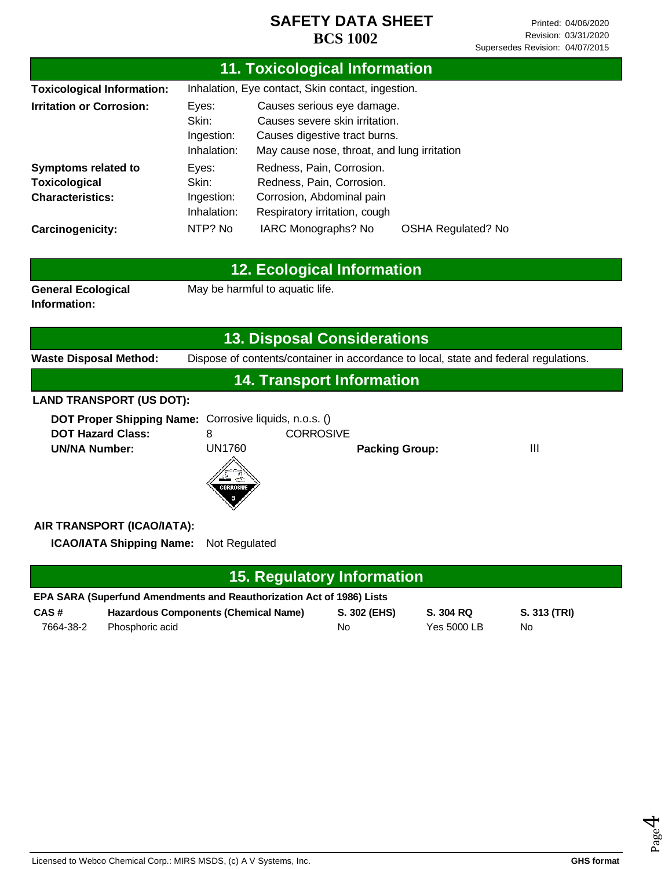| <b>11. Toxicological Information</b>                                                                       |                                                   |                                                                                                                                              |                    |                                 |                                                                                      |  |  |
|------------------------------------------------------------------------------------------------------------|---------------------------------------------------|----------------------------------------------------------------------------------------------------------------------------------------------|--------------------|---------------------------------|--------------------------------------------------------------------------------------|--|--|
| <b>Toxicological Information:</b>                                                                          | Inhalation, Eye contact, Skin contact, ingestion. |                                                                                                                                              |                    |                                 |                                                                                      |  |  |
| <b>Irritation or Corrosion:</b>                                                                            | Eyes:<br>Skin:<br>Ingestion:<br>Inhalation:       | Causes serious eye damage.<br>Causes severe skin irritation.<br>Causes digestive tract burns.<br>May cause nose, throat, and lung irritation |                    |                                 |                                                                                      |  |  |
| <b>Symptoms related to</b>                                                                                 | Eyes:                                             | Redness, Pain, Corrosion.                                                                                                                    |                    |                                 |                                                                                      |  |  |
| <b>Toxicological</b>                                                                                       | Skin:                                             | Redness, Pain, Corrosion.                                                                                                                    |                    |                                 |                                                                                      |  |  |
| <b>Characteristics:</b>                                                                                    | Ingestion:<br>Inhalation:                         | Corrosion, Abdominal pain<br>Respiratory irritation, cough                                                                                   |                    |                                 |                                                                                      |  |  |
| Carcinogenicity:                                                                                           | NTP? No                                           | IARC Monographs? No                                                                                                                          |                    | <b>OSHA Regulated? No</b>       |                                                                                      |  |  |
| <b>12. Ecological Information</b>                                                                          |                                                   |                                                                                                                                              |                    |                                 |                                                                                      |  |  |
| <b>General Ecological</b><br>May be harmful to aquatic life.<br>Information:                               |                                                   |                                                                                                                                              |                    |                                 |                                                                                      |  |  |
|                                                                                                            |                                                   | <b>13. Disposal Considerations</b>                                                                                                           |                    |                                 |                                                                                      |  |  |
| <b>Waste Disposal Method:</b>                                                                              |                                                   |                                                                                                                                              |                    |                                 | Dispose of contents/container in accordance to local, state and federal regulations. |  |  |
|                                                                                                            |                                                   | <b>14. Transport Information</b>                                                                                                             |                    |                                 |                                                                                      |  |  |
| <b>LAND TRANSPORT (US DOT):</b>                                                                            |                                                   |                                                                                                                                              |                    |                                 |                                                                                      |  |  |
| DOT Proper Shipping Name: Corrosive liquids, n.o.s. ()<br><b>DOT Hazard Class:</b><br><b>UN/NA Number:</b> | 8<br><b>UN1760</b>                                | <b>CORROSIVE</b>                                                                                                                             |                    |                                 | III                                                                                  |  |  |
| <b>Packing Group:</b><br>Z<br>CORROSIVE                                                                    |                                                   |                                                                                                                                              |                    |                                 |                                                                                      |  |  |
| AIR TRANSPORT (ICAO/IATA):                                                                                 |                                                   |                                                                                                                                              |                    |                                 |                                                                                      |  |  |
| <b>ICAO/IATA Shipping Name:</b>                                                                            | Not Regulated                                     |                                                                                                                                              |                    |                                 |                                                                                      |  |  |
| <b>15. Regulatory Information</b>                                                                          |                                                   |                                                                                                                                              |                    |                                 |                                                                                      |  |  |
| EPA SARA (Superfund Amendments and Reauthorization Act of 1986) Lists                                      |                                                   |                                                                                                                                              |                    |                                 |                                                                                      |  |  |
| CAS#<br><b>Hazardous Components (Chemical Name)</b><br>7664-38-2<br>Phosphoric acid                        |                                                   |                                                                                                                                              | S. 302 (EHS)<br>No | S. 304 RQ<br><b>Yes 5000 LB</b> | S. 313 (TRI)<br>No                                                                   |  |  |